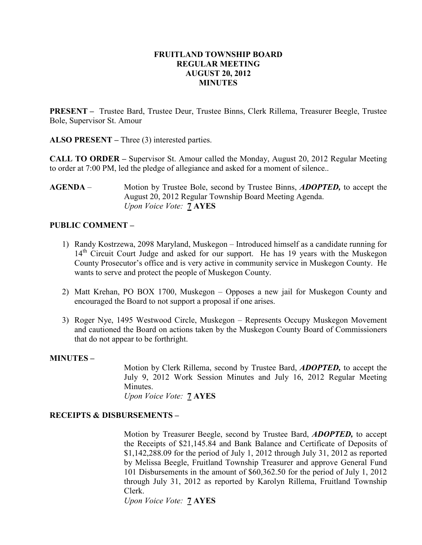### FRUITLAND TOWNSHIP BOARD REGULAR MEETING AUGUST 20, 2012 MINUTES

PRESENT – Trustee Bard, Trustee Deur, Trustee Binns, Clerk Rillema, Treasurer Beegle, Trustee Bole, Supervisor St. Amour

ALSO PRESENT – Three (3) interested parties.

CALL TO ORDER – Supervisor St. Amour called the Monday, August 20, 2012 Regular Meeting to order at 7:00 PM, led the pledge of allegiance and asked for a moment of silence..

AGENDA – Motion by Trustee Bole, second by Trustee Binns, *ADOPTED*, to accept the August 20, 2012 Regular Township Board Meeting Agenda. Upon Voice Vote: 7 AYES

# PUBLIC COMMENT –

- 1) Randy Kostrzewa, 2098 Maryland, Muskegon Introduced himself as a candidate running for 14<sup>th</sup> Circuit Court Judge and asked for our support. He has 19 years with the Muskegon County Prosecutor's office and is very active in community service in Muskegon County. He wants to serve and protect the people of Muskegon County.
- 2) Matt Krehan, PO BOX 1700, Muskegon Opposes a new jail for Muskegon County and encouraged the Board to not support a proposal if one arises.
- 3) Roger Nye, 1495 Westwood Circle, Muskegon Represents Occupy Muskegon Movement and cautioned the Board on actions taken by the Muskegon County Board of Commissioners that do not appear to be forthright.

### MINUTES –

Motion by Clerk Rillema, second by Trustee Bard, ADOPTED, to accept the July 9, 2012 Work Session Minutes and July 16, 2012 Regular Meeting Minutes.

Upon Voice Vote: **7 AYES** 

### RECEIPTS & DISBURSEMENTS –

Motion by Treasurer Beegle, second by Trustee Bard, ADOPTED, to accept the Receipts of \$21,145.84 and Bank Balance and Certificate of Deposits of \$1,142,288.09 for the period of July 1, 2012 through July 31, 2012 as reported by Melissa Beegle, Fruitland Township Treasurer and approve General Fund 101 Disbursements in the amount of \$60,362.50 for the period of July 1, 2012 through July 31, 2012 as reported by Karolyn Rillema, Fruitland Township Clerk.

Upon Voice Vote: 7 AYES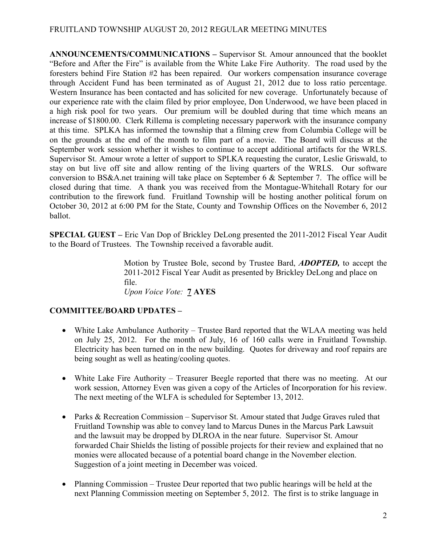# FRUITLAND TOWNSHIP AUGUST 20, 2012 REGULAR MEETING MINUTES

ANNOUNCEMENTS/COMMUNICATIONS – Supervisor St. Amour announced that the booklet "Before and After the Fire" is available from the White Lake Fire Authority. The road used by the foresters behind Fire Station #2 has been repaired. Our workers compensation insurance coverage through Accident Fund has been terminated as of August 21, 2012 due to loss ratio percentage. Western Insurance has been contacted and has solicited for new coverage. Unfortunately because of our experience rate with the claim filed by prior employee, Don Underwood, we have been placed in a high risk pool for two years. Our premium will be doubled during that time which means an increase of \$1800.00. Clerk Rillema is completing necessary paperwork with the insurance company at this time. SPLKA has informed the township that a filming crew from Columbia College will be on the grounds at the end of the month to film part of a movie. The Board will discuss at the September work session whether it wishes to continue to accept additional artifacts for the WRLS. Supervisor St. Amour wrote a letter of support to SPLKA requesting the curator, Leslie Griswald, to stay on but live off site and allow renting of the living quarters of the WRLS. Our software conversion to BS&A.net training will take place on September 6 & September 7. The office will be closed during that time. A thank you was received from the Montague-Whitehall Rotary for our contribution to the firework fund. Fruitland Township will be hosting another political forum on October 30, 2012 at 6:00 PM for the State, County and Township Offices on the November 6, 2012 ballot.

SPECIAL GUEST – Eric Van Dop of Brickley DeLong presented the 2011-2012 Fiscal Year Audit to the Board of Trustees. The Township received a favorable audit.

> Motion by Trustee Bole, second by Trustee Bard, ADOPTED, to accept the 2011-2012 Fiscal Year Audit as presented by Brickley DeLong and place on file. Upon Voice Vote: 7 AYES

# COMMITTEE/BOARD UPDATES –

- White Lake Ambulance Authority Trustee Bard reported that the WLAA meeting was held on July 25, 2012. For the month of July, 16 of 160 calls were in Fruitland Township. Electricity has been turned on in the new building. Quotes for driveway and roof repairs are being sought as well as heating/cooling quotes.
- White Lake Fire Authority Treasurer Beegle reported that there was no meeting. At our work session, Attorney Even was given a copy of the Articles of Incorporation for his review. The next meeting of the WLFA is scheduled for September 13, 2012.
- Parks & Recreation Commission Supervisor St. Amour stated that Judge Graves ruled that Fruitland Township was able to convey land to Marcus Dunes in the Marcus Park Lawsuit and the lawsuit may be dropped by DLROA in the near future. Supervisor St. Amour forwarded Chair Shields the listing of possible projects for their review and explained that no monies were allocated because of a potential board change in the November election. Suggestion of a joint meeting in December was voiced.
- Planning Commission Trustee Deur reported that two public hearings will be held at the next Planning Commission meeting on September 5, 2012. The first is to strike language in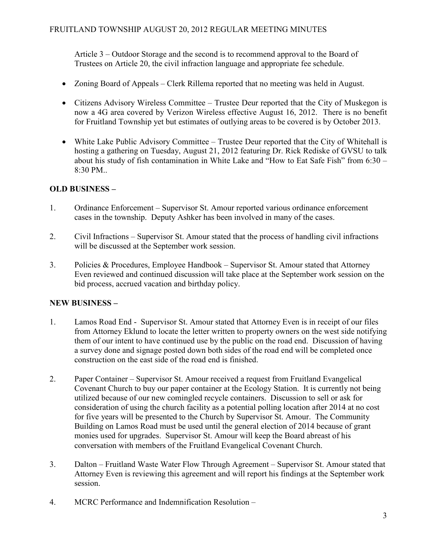Article 3 – Outdoor Storage and the second is to recommend approval to the Board of Trustees on Article 20, the civil infraction language and appropriate fee schedule.

- Zoning Board of Appeals Clerk Rillema reported that no meeting was held in August.
- Citizens Advisory Wireless Committee Trustee Deur reported that the City of Muskegon is now a 4G area covered by Verizon Wireless effective August 16, 2012. There is no benefit for Fruitland Township yet but estimates of outlying areas to be covered is by October 2013.
- White Lake Public Advisory Committee Trustee Deur reported that the City of Whitehall is hosting a gathering on Tuesday, August 21, 2012 featuring Dr. Rick Rediske of GVSU to talk about his study of fish contamination in White Lake and "How to Eat Safe Fish" from 6:30 – 8:30 PM..

# OLD BUSINESS –

- 1. Ordinance Enforcement Supervisor St. Amour reported various ordinance enforcement cases in the township. Deputy Ashker has been involved in many of the cases.
- 2. Civil Infractions Supervisor St. Amour stated that the process of handling civil infractions will be discussed at the September work session.
- 3. Policies & Procedures, Employee Handbook Supervisor St. Amour stated that Attorney Even reviewed and continued discussion will take place at the September work session on the bid process, accrued vacation and birthday policy.

# NEW BUSINESS –

- 1. Lamos Road End Supervisor St. Amour stated that Attorney Even is in receipt of our files from Attorney Eklund to locate the letter written to property owners on the west side notifying them of our intent to have continued use by the public on the road end. Discussion of having a survey done and signage posted down both sides of the road end will be completed once construction on the east side of the road end is finished.
- 2. Paper Container Supervisor St. Amour received a request from Fruitland Evangelical Covenant Church to buy our paper container at the Ecology Station. It is currently not being utilized because of our new comingled recycle containers. Discussion to sell or ask for consideration of using the church facility as a potential polling location after 2014 at no cost for five years will be presented to the Church by Supervisor St. Amour. The Community Building on Lamos Road must be used until the general election of 2014 because of grant monies used for upgrades. Supervisor St. Amour will keep the Board abreast of his conversation with members of the Fruitland Evangelical Covenant Church.
- 3. Dalton Fruitland Waste Water Flow Through Agreement Supervisor St. Amour stated that Attorney Even is reviewing this agreement and will report his findings at the September work session.
- 4. MCRC Performance and Indemnification Resolution –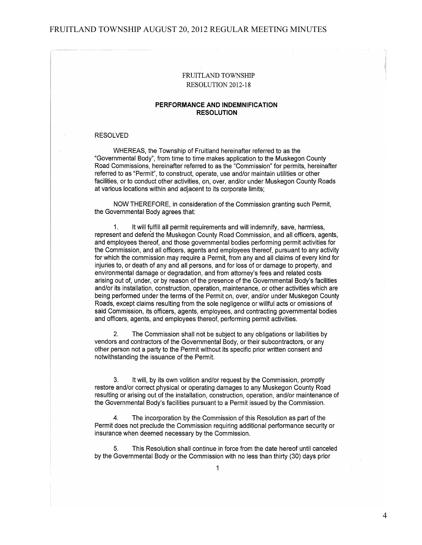#### FRUITLAND TOWNSHIP AUGUST 20, 2012 REGULAR MEETING MINUTES

### **FRUITLAND TOWNSHIP** RESOLUTION 2012-18

#### PERFORMANCE AND INDEMNIFICATION **RESOLUTION**

#### **RESOLVED**

WHEREAS, the Township of Fruitland hereinafter referred to as the "Governmental Body", from time to time makes application to the Muskegon County Road Commissions, hereinafter referred to as the "Commission" for permits, hereinafter referred to as "Permit", to construct, operate, use and/or maintain utilities or other facilities, or to conduct other activities, on, over, and/or under Muskegon County Roads at various locations within and adjacent to its corporate limits;

NOW THEREFORE, in consideration of the Commission granting such Permit. the Governmental Body agrees that:

 $1<sub>1</sub>$ It will fulfill all permit requirements and will indemnify, save, harmless, represent and defend the Muskegon County Road Commission, and all officers, agents, and employees thereof, and those governmental bodies performing permit activities for the Commission, and all officers, agents and employees thereof, pursuant to any activity for which the commission may require a Permit, from any and all claims of every kind for injuries to, or death of any and all persons, and for loss of or damage to property, and environmental damage or degradation, and from attorney's fees and related costs arising out of, under, or by reason of the presence of the Governmental Body's facilities and/or its installation, construction, operation, maintenance, or other activities which are being performed under the terms of the Permit on, over, and/or under Muskegon County Roads, except claims resulting from the sole negligence or willful acts or omissions of said Commission, its officers, agents, employees, and contracting governmental bodies and officers, agents, and employees thereof, performing permit activities.

 $2.$ The Commission shall not be subject to any obligations or liabilities by vendors and contractors of the Governmental Body, or their subcontractors, or any other person not a party to the Permit without its specific prior written consent and notwithstanding the issuance of the Permit.

3. It will, by its own volition and/or request by the Commission, promptly restore and/or correct physical or operating damages to any Muskegon County Road resulting or arising out of the installation, construction, operation, and/or maintenance of the Governmental Body's facilities pursuant to a Permit issued by the Commission.

 $\overline{a}$ The incorporation by the Commission of this Resolution as part of the Permit does not preclude the Commission requiring additional performance security or insurance when deemed necessary by the Commission.

5. This Resolution shall continue in force from the date hereof until canceled by the Governmental Body or the Commission with no less than thirty (30) days prior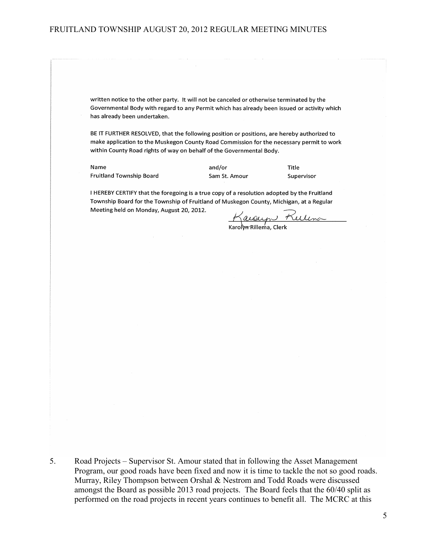### FRUITLAND TOWNSHIP AUGUST 20, 2012 REGULAR MEETING MINUTES

written notice to the other party. It will not be canceled or otherwise terminated by the Governmental Body with regard to any Permit which has already been issued or activity which has already been undertaken.

BE IT FURTHER RESOLVED, that the following position or positions, are hereby authorized to make application to the Muskegon County Road Commission for the necessary permit to work within County Road rights of way on behalf of the Governmental Body.

Name Fruitland Township Board and/or Sam St. Amour Title Supervisor

I HEREBY CERTIFY that the foregoing is a true copy of a resolution adopted by the Fruitland Township Board for the Township of Fruitland of Muskegon County, Michigan, at a Regular Meeting held on Monday, August 20, 2012.

Karolyn Ruling

5. Road Projects – Supervisor St. Amour stated that in following the Asset Management Program, our good roads have been fixed and now it is time to tackle the not so good roads. Murray, Riley Thompson between Orshal & Nestrom and Todd Roads were discussed amongst the Board as possible 2013 road projects. The Board feels that the 60/40 split as performed on the road projects in recent years continues to benefit all. The MCRC at this